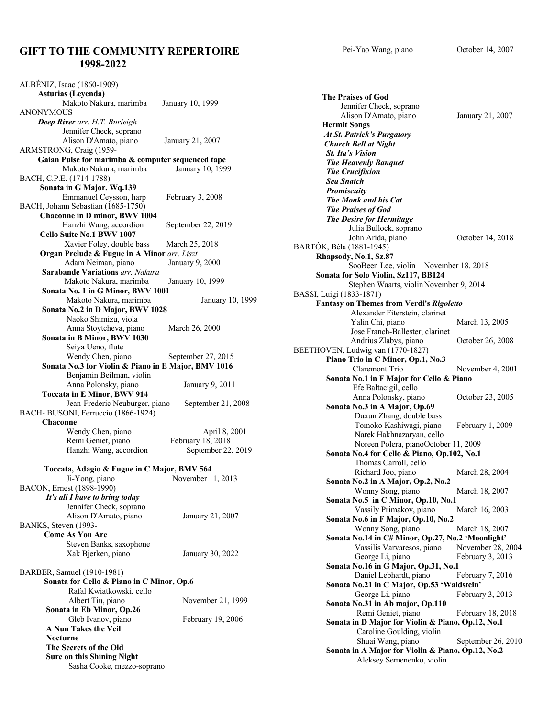## **GIFT TO THE COMMUNITY REPERTOIRE 1998-2022**

Pei-Yao Wang, piano October 14, 2007

| ALBÉNIZ, Isaac (1860-1909)<br><b>Asturias (Leyenda)</b><br>Makoto Nakura, marimba | January 10, 1999   |
|-----------------------------------------------------------------------------------|--------------------|
| ANONYMOUS                                                                         |                    |
| Deep River arr. H.T. Burleigh                                                     |                    |
| Jennifer Check, soprano<br>Alison D'Amato, piano                                  | January 21, 2007   |
| ARMSTRONG, Craig (1959-                                                           |                    |
| Gaian Pulse for marimba & computer sequenced tape                                 |                    |
| Makoto Nakura, marimba                                                            | January 10, 1999   |
| BACH, C.P.E. (1714-1788)                                                          |                    |
| Sonata in G Major, Wq.139                                                         |                    |
| Emmanuel Ceysson, harp                                                            | February 3, 2008   |
| BACH, Johann Sebastian (1685-1750)                                                |                    |
| Chaconne in D minor, BWV 1004                                                     |                    |
| Hanzhi Wang, accordion                                                            | September 22, 2019 |
| Cello Suite No.1 BWV 1007                                                         |                    |
| Xavier Foley, double bass                                                         | March 25, 2018     |
| Organ Prelude & Fugue in A Minor arr. Liszt                                       |                    |
| Adam Neiman, piano                                                                | January 9, 2000    |
| <b>Sarabande Variations arr. Nakura</b>                                           |                    |
| Makoto Nakura, marimba<br>Sonata No. 1 in G Minor, BWV 1001                       | January 10, 1999   |
| Makoto Nakura, marimba                                                            | January 10, 1999   |
| Sonata No.2 in D Major, BWV 1028                                                  |                    |
| Naoko Shimizu, viola                                                              |                    |
| Anna Stoytcheva, piano                                                            | March 26, 2000     |
| Sonata in B Minor, BWV 1030                                                       |                    |
| Seiya Ueno, flute                                                                 |                    |
| Wendy Chen, piano                                                                 | September 27, 2015 |
| Sonata No.3 for Violin & Piano in E Major, BMV 1016                               |                    |
| Benjamin Beilman, violin                                                          |                    |
| Anna Polonsky, piano                                                              | January 9, 2011    |
| Toccata in E Minor, BWV 914                                                       |                    |
| Jean-Frederic Neuburger, piano                                                    | September 21, 2008 |
| BACH-BUSONI, Ferruccio (1866-1924)                                                |                    |
| Chaconne                                                                          |                    |
| Wendy Chen, piano                                                                 | April 8, 2001      |
| Remi Geniet, piano                                                                | February 18, 2018  |
| Hanzhi Wang, accordion                                                            | September 22, 2019 |
|                                                                                   |                    |
| Toccata, Adagio & Fugue in C Major, BMV 564                                       |                    |
| Ji-Yong, piano                                                                    | November 11, 2013  |
| BACON, Ernest (1898-1990)                                                         |                    |
| It's all I have to bring today                                                    |                    |
| Jennifer Check, soprano                                                           |                    |
| Alison D'Amato, piano                                                             | January 21, 2007   |
| BANKS, Steven (1993-                                                              |                    |
| <b>Come As You Are</b>                                                            |                    |
| Steven Banks, saxophone                                                           |                    |
| Xak Bjerken, piano                                                                | January 30, 2022   |
|                                                                                   |                    |
| BARBER, Samuel (1910-1981)                                                        |                    |
| Sonata for Cello & Piano in C Minor, Op.6                                         |                    |
| Rafal Kwiatkowski, cello                                                          |                    |
| Albert Tiu, piano                                                                 | November 21, 1999  |
| Sonata in Eb Minor, Op.26                                                         |                    |
| Gleb Ivanov, piano                                                                | February 19, 2006  |
| <b>A Nun Takes the Veil</b>                                                       |                    |
| Nocturne                                                                          |                    |
| The Secrets of the Old                                                            |                    |
| <b>Sure on this Shining Night</b>                                                 |                    |
| Sasha Cooke, mezzo-soprano                                                        |                    |
|                                                                                   |                    |

| <b>The Praises of God</b>                                              |                    |
|------------------------------------------------------------------------|--------------------|
| Jennifer Check, soprano                                                |                    |
| Alison D'Amato, piano                                                  | January 21, 2007   |
| <b>Hermit Songs</b>                                                    |                    |
| At St. Patrick's Purgatory                                             |                    |
| <b>Church Bell at Night</b><br><b>St. Ita's Vision</b>                 |                    |
| <b>The Heavenly Banquet</b>                                            |                    |
| <b>The Crucifixion</b>                                                 |                    |
| <b>Sea Snatch</b>                                                      |                    |
| Promiscuity                                                            |                    |
| <b>The Monk and his Cat</b>                                            |                    |
| <b>The Praises of God</b>                                              |                    |
| <b>The Desire for Hermitage</b>                                        |                    |
| Julia Bullock, soprano                                                 |                    |
| John Arida, piano                                                      | October 14, 2018   |
| BARTÓK, Béla (1881-1945)                                               |                    |
| Rhapsody, No.1, Sz.87                                                  |                    |
| SooBeen Lee, violin November 18, 2018                                  |                    |
| Sonata for Solo Violin, Sz117, BB124                                   |                    |
| Stephen Waarts, violin November 9, 2014                                |                    |
| BASSI, Luigi (1833-1871)                                               |                    |
| <b>Fantasy on Themes from Verdi's Rigoletto</b>                        |                    |
| Alexander Fiterstein, clarinet                                         |                    |
| Yalin Chi, piano                                                       | March 13, 2005     |
| Jose Franch-Ballester, clarinet                                        |                    |
| Andrius Zlabys, piano                                                  | October 26, 2008   |
| BEETHOVEN, Ludwig van (1770-1827)                                      |                    |
| Piano Trio in C Minor, Op.1, No.3                                      |                    |
| Claremont Trio                                                         | November 4, 2001   |
| Sonata No.1 in F Major for Cello & Piano                               |                    |
| Efe Baltacigil, cello<br>Anna Polonsky, piano                          | October 23, 2005   |
| Sonata No.3 in A Major, Op.69                                          |                    |
| Daxun Zhang, double bass                                               |                    |
| Tomoko Kashiwagi, piano                                                | February 1, 2009   |
| Narek Hakhnazaryan, cello                                              |                    |
| Noreen Polera, pianoOctober 11, 2009                                   |                    |
| Sonata No.4 for Cello & Piano, Op.102, No.1                            |                    |
| Thomas Carroll, cello                                                  |                    |
| Richard Joo, piano                                                     | March 28, 2004     |
| Sonata No.2 in A Major, Op.2, No.2                                     |                    |
| Wonny Song, piano                                                      | March 18, 2007     |
| Sonata No.5 in C Minor, Op.10, No.1                                    |                    |
| Vassily Primakov, piano                                                | March 16, 2003     |
| Sonata No.6 in F Major, Op.10, No.2                                    |                    |
| Wonny Song, piano                                                      | March 18, 2007     |
| Sonata No.14 in C# Minor, Op.27, No.2 'Moonlight'                      |                    |
| Vassilis Varvaresos, piano                                             | November 28, 2004  |
| George Li, piano                                                       | February 3, 2013   |
| Sonata No.16 in G Major, Op.31, No.1                                   |                    |
| Daniel Lebhardt, piano                                                 | February 7, 2016   |
| Sonata No.21 in C Major, Op.53 'Waldstein'                             |                    |
| George Li, piano                                                       | February 3, 2013   |
| Sonata No.31 in Ab major, Op.110                                       |                    |
| Remi Geniet, piano                                                     | February 18, 2018  |
| Sonata in D Major for Violin & Piano, Op.12, No.1                      |                    |
| Caroline Goulding, violin                                              |                    |
| Shuai Wang, piano<br>Sonata in A Major for Violin & Piano, Op.12, No.2 | September 26, 2010 |
| Aleksey Semenenko, violin                                              |                    |
|                                                                        |                    |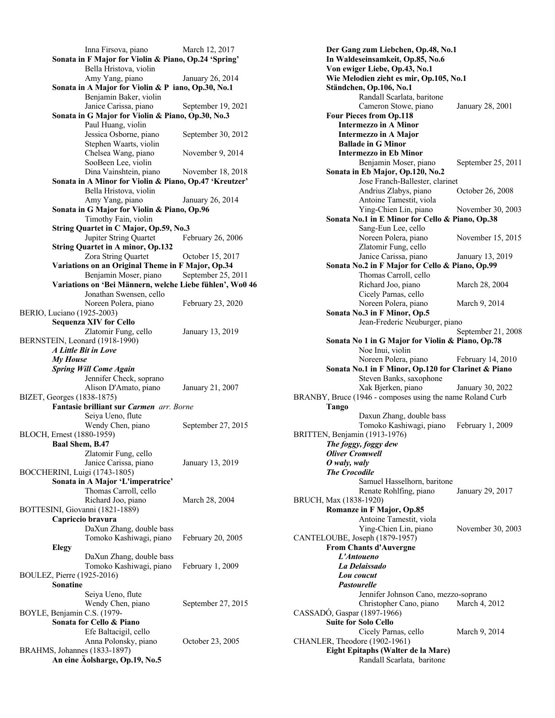| Inna Firsova, piano                                            | March 12, 2017     |
|----------------------------------------------------------------|--------------------|
| Sonata in F Major for Violin & Piano, Op.24 'Spring'           |                    |
| Bella Hristova, violin                                         |                    |
| Amy Yang, piano                                                | January 26, 2014   |
| Sonata in A Major for Violin & P iano, Op.30, No.1             |                    |
| Benjamin Baker, violin                                         |                    |
| Janice Carissa, piano                                          | September 19, 2021 |
| Sonata in G Major for Violin & Piano, Op.30, No.3              |                    |
|                                                                |                    |
| Paul Huang, violin                                             |                    |
| Jessica Osborne, piano                                         | September 30, 2012 |
| Stephen Waarts, violin                                         |                    |
| Chelsea Wang, piano                                            | November 9, 2014   |
| SooBeen Lee, violin                                            |                    |
| Dina Vainshtein, piano                                         | November 18, 2018  |
| Sonata in A Minor for Violin & Piano, Op.47 'Kreutzer'         |                    |
| Bella Hristova, violin                                         |                    |
| Amy Yang, piano                                                | January 26, 2014   |
| Sonata in G Major for Violin & Piano, Op.96                    |                    |
| Timothy Fain, violin                                           |                    |
| String Quartet in C Major, Op.59, No.3                         |                    |
|                                                                |                    |
| Jupiter String Quartet                                         | February 26, 2006  |
| <b>String Quartet in A minor, Op.132</b>                       |                    |
| Zora String Quartet                                            | October 15, 2017   |
| Variations on an Original Theme in F Major, Op.34              |                    |
| Benjamin Moser, piano                                          | September 25, 2011 |
| Variations on 'Bei Männern, welche Liebe fühlen', Wo0 46       |                    |
| Jonathan Swensen, cello                                        |                    |
| Noreen Polera, piano                                           | February 23, 2020  |
| BERIO, Luciano (1925-2003)                                     |                    |
| <b>Sequenza XIV for Cello</b>                                  |                    |
| Zlatomir Fung, cello                                           | January 13, 2019   |
| BERNSTEIN, Leonard (1918-1990)                                 |                    |
| A Little Bit in Love                                           |                    |
|                                                                |                    |
| <b>My House</b>                                                |                    |
| <b>Spring Will Come Again</b>                                  |                    |
| Jennifer Check, soprano                                        |                    |
| Alison D'Amato, piano                                          | January 21, 2007   |
| BIZET, Georges (1838-1875)                                     |                    |
| Fantasie brilliant sur Carmen arr. Borne                       |                    |
| Seiya Ueno, flute                                              |                    |
| Wendy Chen, piano                                              | September 27, 2015 |
| BLOCH, Ernest (1880-1959)                                      |                    |
| Baal Shem, B.47                                                |                    |
| Zlatomir Fung, cello                                           |                    |
| Janice Carissa, piano                                          | January 13, 2019   |
| BOCCHERINI, Luigi (1743-1805)                                  |                    |
| Sonata in A Major 'L'imperatrice'                              |                    |
|                                                                |                    |
| Thomas Carroll, cello                                          |                    |
| Richard Joo, piano                                             | March 28, 2004     |
| BOTTESINI, Giovanni (1821-1889)                                |                    |
| Capriccio bravura                                              |                    |
| DaXun Zhang, double bass                                       |                    |
|                                                                |                    |
| Tomoko Kashiwagi, piano                                        | February 20, 2005  |
| Elegy                                                          |                    |
|                                                                |                    |
| DaXun Zhang, double bass                                       |                    |
| Tomoko Kashiwagi, piano                                        | February 1, 2009   |
| BOULEZ, Pierre (1925-2016)                                     |                    |
| Sonatine                                                       |                    |
| Seiya Ueno, flute                                              |                    |
| Wendy Chen, piano                                              | September 27, 2015 |
| BOYLE, Benjamin C.S. (1979-                                    |                    |
| Sonata for Cello & Piano                                       |                    |
| Efe Baltacigil, cello                                          |                    |
| Anna Polonsky, piano                                           | October 23, 2005   |
|                                                                |                    |
| BRAHMS, Johannes (1833-1897)<br>An eine Äolsharge, Op.19, No.5 |                    |

| Der Gang zum Liebchen, Op.48, No.1                                  |                    |
|---------------------------------------------------------------------|--------------------|
| In Waldeseinsamkeit, Op.85, No.6                                    |                    |
| Von ewiger Liebe, Op.43, No.1                                       |                    |
| Wie Melodien zieht es mir, Op.105, No.1                             |                    |
| Ständchen, Op.106, No.1                                             |                    |
| Randall Scarlata, baritone                                          |                    |
| Cameron Stowe, piano                                                | January 28, 2001   |
| <b>Four Pieces from Op.118</b>                                      |                    |
| <b>Intermezzo in A Minor</b>                                        |                    |
| <b>Intermezzo in A Major</b><br><b>Ballade in G Minor</b>           |                    |
| <b>Intermezzo in Eb Minor</b>                                       |                    |
| Benjamin Moser, piano                                               | September 25, 2011 |
| Sonata in Eb Major, Op.120, No.2                                    |                    |
| Jose Franch-Ballester, clarinet                                     |                    |
| Andrius Zlabys, piano                                               | October 26, 2008   |
| Antoine Tamestit, viola                                             |                    |
| Ying-Chien Lin, piano                                               | November 30, 2003  |
| Sonata No.1 in E Minor for Cello & Piano, Op.38                     |                    |
| Sang-Eun Lee, cello                                                 |                    |
| Noreen Polera, piano                                                | November 15, 2015  |
| Zlatomir Fung, cello                                                |                    |
| Janice Carissa, piano                                               | January 13, 2019   |
| Sonata No.2 in F Major for Cello & Piano, Op.99                     |                    |
| Thomas Carroll, cello                                               |                    |
| Richard Joo, piano                                                  | March 28, 2004     |
| Cicely Parnas, cello                                                |                    |
| Noreen Polera, piano                                                | March 9, 2014      |
| Sonata No.3 in F Minor, Op.5                                        |                    |
| Jean-Frederic Neuburger, piano                                      |                    |
|                                                                     | September 21, 2008 |
| Sonata No 1 in G Major for Violin & Piano, Op.78                    |                    |
| Noe Inui, violin<br>Noreen Polera, piano                            |                    |
|                                                                     | February 14, 2010  |
|                                                                     |                    |
| Sonata No.1 in F Minor, Op.120 for Clarinet & Piano                 |                    |
| Steven Banks, saxophone                                             |                    |
| Xak Bjerken, piano                                                  | January 30, 2022   |
| BRANBY, Bruce (1946 - composes using the name Roland Curb           |                    |
| Tango                                                               |                    |
| Daxun Zhang, double bass                                            |                    |
| Tomoko Kashiwagi, piano                                             | February 1, 2009   |
| BRITTEN, Benjamin (1913-1976)                                       |                    |
| The foggy, foggy dew<br>Oliver Cromwell                             |                    |
| O waly, waly                                                        |                    |
| <b>The Crocodile</b>                                                |                    |
| Samuel Hasselhorn, baritone                                         |                    |
| Renate Rohlfing, piano                                              | January 29, 2017   |
| BRUCH, Max (1838-1920)                                              |                    |
| Romanze in F Major, Op.85                                           |                    |
| Antoine Tamestit, viola                                             |                    |
| Ying-Chien Lin, piano                                               | November 30, 2003  |
| CANTELOUBE, Joseph (1879-1957)                                      |                    |
| <b>From Chants d'Auvergne</b>                                       |                    |
| L'Antoueno                                                          |                    |
| La Delaissado                                                       |                    |
| Lou coucut                                                          |                    |
| Pastourelle                                                         |                    |
| Jennifer Johnson Cano, mezzo-soprano                                |                    |
| Christopher Cano, piano                                             | March 4, 2012      |
| CASSADÓ, Gaspar (1897-1966)                                         |                    |
| <b>Suite for Solo Cello</b>                                         |                    |
| Cicely Parnas, cello                                                | March 9, 2014      |
| CHANLER, Theodore (1902-1961)<br>Eight Epitaphs (Walter de la Mare) |                    |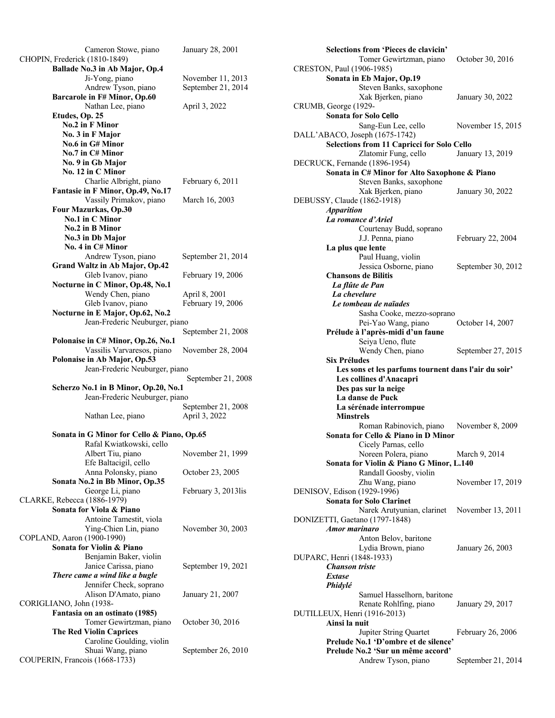| Cameron Stowe, piano                                                   | January 28, 2001    |
|------------------------------------------------------------------------|---------------------|
| CHOPIN, Frederick (1810-1849)                                          |                     |
| Ballade No.3 in Ab Major, Op.4                                         |                     |
| Ji-Yong, piano                                                         | November 11, 2013   |
| Andrew Tyson, piano<br>Barcarole in F# Minor, Op.60                    | September 21, 2014  |
| Nathan Lee, piano                                                      | April 3, 2022       |
| Etudes, Op. 25                                                         |                     |
| No.2 in F Minor                                                        |                     |
| No. 3 in F Major                                                       |                     |
| No.6 in G# Minor                                                       |                     |
| No.7 in C# Minor                                                       |                     |
| No. 9 in Gb Major                                                      |                     |
| No. 12 in C Minor                                                      |                     |
| Charlie Albright, piano                                                | February 6, 2011    |
| Fantasie in F Minor, Op.49, No.17<br>Vassily Primakov, piano           | March 16, 2003      |
| Four Mazurkas, Op.30                                                   |                     |
| No.1 in C Minor                                                        |                     |
| No.2 in B Minor                                                        |                     |
| No.3 in Db Major                                                       |                     |
| No. 4 in C# Minor                                                      |                     |
| Andrew Tyson, piano                                                    | September 21, 2014  |
| Grand Waltz in Ab Major, Op.42<br>Gleb Ivanov, piano                   |                     |
| Nocturne in C Minor, Op.48, No.1                                       | February 19, 2006   |
| Wendy Chen, piano                                                      | April 8, 2001       |
| Gleb Ivanov, piano                                                     | February 19, 2006   |
| Nocturne in E Major, Op.62, No.2                                       |                     |
| Jean-Frederic Neuburger, piano                                         |                     |
|                                                                        | September 21, 2008  |
| Polonaise in C# Minor, Op.26, No.1<br>Vassilis Varvaresos, piano       | November 28, 2004   |
| Polonaise in Ab Major, Op.53                                           |                     |
| Jean-Frederic Neuburger, piano                                         |                     |
|                                                                        | September 21, 2008  |
| Scherzo No.1 in B Minor, Op.20, No.1<br>Jean-Frederic Neuburger, piano |                     |
|                                                                        | September 21, 2008  |
| Nathan Lee, piano                                                      | April 3, 2022       |
|                                                                        |                     |
| Sonata in G Minor for Cello & Piano, Op.65<br>Rafal Kwiatkowski, cello |                     |
| Albert Tiu, piano                                                      | November 21, 1999   |
| Efe Baltacigil, cello                                                  |                     |
| Anna Polonsky, piano                                                   | October 23, 2005    |
| Sonata No.2 in Bb Minor, Op.35                                         |                     |
| George Li, piano                                                       | February 3, 2013lis |
| CLARKE, Rebecca (1886-1979)<br>Sonata for Viola & Piano                |                     |
| Antoine Tamestit, viola                                                |                     |
| Ying-Chien Lin, piano                                                  | November 30, 2003   |
| COPLAND, Aaron (1900-1990)                                             |                     |
| Sonata for Violin & Piano                                              |                     |
| Benjamin Baker, violin                                                 |                     |
| Janice Carissa, piano                                                  | September 19, 2021  |
| There came a wind like a bugle<br>Jennifer Check, soprano              |                     |
| Alison D'Amato, piano                                                  | January 21, 2007    |
| CORIGLIANO, John (1938-                                                |                     |
| Fantasia on an ostinato (1985)                                         |                     |
| Tomer Gewirtzman, piano                                                | October 30, 2016    |
| <b>The Red Violin Caprices</b>                                         |                     |
| Caroline Goulding, violin                                              |                     |
|                                                                        |                     |
| Shuai Wang, piano<br>COUPERIN, Francois (1668-1733)                    | September 26, 2010  |

| Selections from 'Pieces de clavicin'                 |                    |
|------------------------------------------------------|--------------------|
| Tomer Gewirtzman, piano                              | October 30, 2016   |
| CRESTON, Paul (1906-1985)                            |                    |
| Sonata in Eb Major, Op.19                            |                    |
| Steven Banks, saxophone                              |                    |
| Xak Bjerken, piano                                   | January 30, 2022   |
| CRUMB, George (1929-                                 |                    |
| <b>Sonata for Solo Cello</b>                         |                    |
| Sang-Eun Lee, cello                                  | November 15, 2015  |
| DALL'ABACO, Joseph (1675-1742)                       |                    |
| <b>Selections from 11 Capricci for Solo Cello</b>    |                    |
| Zlatomir Fung, cello                                 | January 13, 2019   |
| DECRUCK, Fernande (1896-1954)                        |                    |
| Sonata in C# Minor for Alto Saxophone & Piano        |                    |
| Steven Banks, saxophone                              |                    |
| Xak Bjerken, piano                                   | January 30, 2022   |
| DEBUSSY, Claude (1862-1918)                          |                    |
| <b>Apparition</b>                                    |                    |
| La romance d'Ariel                                   |                    |
| Courtenay Budd, soprano                              |                    |
| J.J. Penna, piano                                    | February 22, 2004  |
| La plus que lente                                    |                    |
| Paul Huang, violin                                   |                    |
| Jessica Osborne, piano                               | September 30, 2012 |
| <b>Chansons de Bilitis</b>                           |                    |
| La flûte de Pan                                      |                    |
| La chevelure                                         |                    |
| Le tombeau de naïades                                |                    |
| Sasha Cooke, mezzo-soprano                           |                    |
| Pei-Yao Wang, piano                                  | October 14, 2007   |
| Prélude à l'après-midi d'un faune                    |                    |
| Seiya Ueno, flute                                    |                    |
| Wendy Chen, piano                                    | September 27, 2015 |
|                                                      |                    |
| <b>Six Préludes</b>                                  |                    |
| Les sons et les parfums tournent dans l'air du soir' |                    |
| Les collines d'Anacapri                              |                    |
| Des pas sur la neige                                 |                    |
| La danse de Puck                                     |                    |
| La sérénade interrompue                              |                    |
| <b>Minstrels</b>                                     |                    |
| Roman Rabinovich, piano                              | November 8, 2009   |
| Sonata for Cello & Piano in D Minor                  |                    |
| Cicely Parnas, cello                                 |                    |
| Noreen Polera, piano                                 | March 9, 2014      |
| Sonata for Violin & Piano G Minor, L.140             |                    |
| Randall Goosby, violin                               |                    |
| Zhu Wang, piano                                      | November 17, 2019  |
| DENISOV, Edison (1929-1996)                          |                    |
| <b>Sonata for Solo Clarinet</b>                      |                    |
| Narek Arutyunian, clarinet                           | November 13, 2011  |
| DONIZETTI, Gaetano (1797-1848)                       |                    |
| Amor marinaro                                        |                    |
| Anton Belov, baritone                                |                    |
| Lydia Brown, piano                                   | January 26, 2003   |
| DUPARC, Henri (1848-1933)                            |                    |
| <b>Chanson</b> triste                                |                    |
| <i>Extase</i>                                        |                    |
| <b>Phidylé</b>                                       |                    |
| Samuel Hasselhorn, baritone                          |                    |
| Renate Rohlfing, piano                               | January 29, 2017   |
| DUTILLEUX, Henri (1916-2013)                         |                    |
| Ainsi la nuit                                        |                    |
| Jupiter String Quartet                               | February 26, 2006  |
| Prelude No.1 'D'ombre et de silence'                 |                    |
| Prelude No.2 'Sur un même accord'                    |                    |
| Andrew Tyson, piano                                  | September 21, 2014 |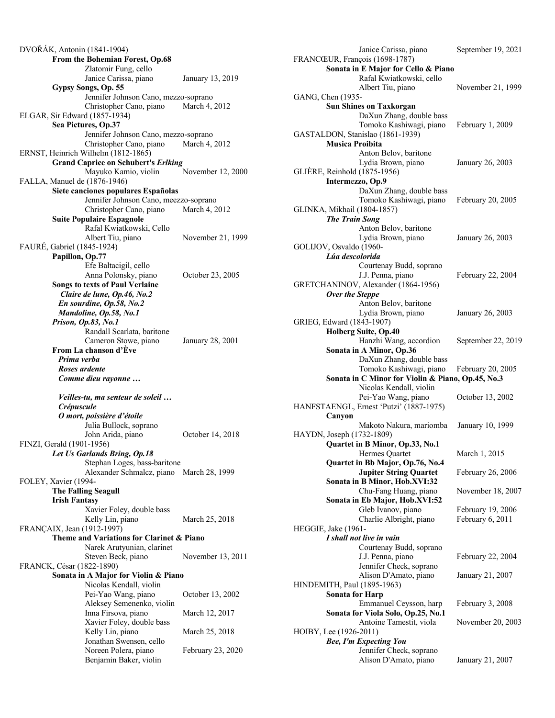| DVOŘÁK, Antonin (1841-1904)                                                       |                   |
|-----------------------------------------------------------------------------------|-------------------|
| From the Bohemian Forest, Op.68                                                   |                   |
| Zlatomir Fung, cello<br>Janice Carissa, piano                                     | January 13, 2019  |
| Gypsy Songs, Op. 55                                                               |                   |
| Jennifer Johnson Cano, mezzo-soprano                                              |                   |
| Christopher Cano, piano<br>ELGAR, Sir Edward (1857-1934)                          | March 4, 2012     |
| Sea Pictures, Op.37                                                               |                   |
| Jennifer Johnson Cano, mezzo-soprano                                              |                   |
| Christopher Cano, piano                                                           | March 4, 2012     |
| ERNST, Heinrich Wilhelm (1812-1865)<br><b>Grand Caprice on Schubert's Erlking</b> |                   |
| Mayuko Kamio, violin                                                              | November 12, 2000 |
| FALLA, Manuel de (1876-1946)                                                      |                   |
| Siete canciones populares Españolas                                               |                   |
| Jennifer Johnson Cano, meezzo-soprano<br>Christopher Cano, piano                  | March 4, 2012     |
| <b>Suite Populaire Espagnole</b>                                                  |                   |
| Rafal Kwiatkowski, Cello                                                          |                   |
| Albert Tiu, piano                                                                 | November 21, 1999 |
| FAURÉ, Gabriel (1845-1924)<br>Papillon, Op.77                                     |                   |
| Efe Baltacigil, cello                                                             |                   |
| Anna Polonsky, piano                                                              | October 23, 2005  |
| <b>Songs to texts of Paul Verlaine</b>                                            |                   |
| Claire de lune, Op.46, No.2<br>En sourdine, Op.58, No.2                           |                   |
| Mandoline, Op.58, No.1                                                            |                   |
| Prison, Op.83, No.1                                                               |                   |
| Randall Scarlata, baritone                                                        |                   |
| Cameron Stowe, piano<br>From La chanson d'Ève                                     | January 28, 2001  |
| Prima verba                                                                       |                   |
| Roses ardente                                                                     |                   |
| Comme dieu rayonne                                                                |                   |
| Veilles-tu, ma senteur de soleil                                                  |                   |
| <b>Crépuscule</b>                                                                 |                   |
| O mort, poissière d'étoile                                                        |                   |
| Julia Bullock, soprano<br>John Arida, piano                                       | October 14, 2018  |
| FINZI, Gerald (1901-1956)                                                         |                   |
| Let Us Garlands Bring, Op.18                                                      |                   |
| Stephan Loges, bass-baritone                                                      |                   |
| Alexander Schmalcz, piano March 28, 1999<br>FOLEY, Xavier (1994-                  |                   |
| <b>The Falling Seagull</b>                                                        |                   |
| <b>Irish Fantasy</b>                                                              |                   |
| Xavier Foley, double bass                                                         |                   |
| Kelly Lin, piano<br>FRANÇAIX, Jean (1912-1997)                                    | March 25, 2018    |
| Theme and Variations for Clarinet & Piano                                         |                   |
| Narek Arutyunian, clarinet                                                        |                   |
| Steven Beck, piano                                                                | November 13, 2011 |
| FRANCK, César (1822-1890)<br>Sonata in A Major for Violin & Piano                 |                   |
|                                                                                   |                   |
| Nicolas Kendall, violin                                                           |                   |
| Pei-Yao Wang, piano                                                               | October 13, 2002  |
| Aleksey Semenenko, violin                                                         |                   |
| Inna Firsova, piano                                                               | March 12, 2017    |
| Xavier Foley, double bass<br>Kelly Lin, piano                                     | March 25, 2018    |
| Jonathan Swensen, cello                                                           |                   |
| Noreen Polera, piano<br>Benjamin Baker, violin                                    | February 23, 2020 |

| Janice Carissa, piano                              | September 19, 2021 |
|----------------------------------------------------|--------------------|
| FRANCŒUR, François (1698-1787)                     |                    |
| Sonata in E Major for Cello & Piano                |                    |
| Rafal Kwiatkowski, cello                           |                    |
| Albert Tiu, piano                                  | November 21, 1999  |
| GANG, Chen (1935-                                  |                    |
| <b>Sun Shines on Taxkorgan</b>                     |                    |
| DaXun Zhang, double bass                           |                    |
| Tomoko Kashiwagi, piano                            | February 1, 2009   |
| GASTALDON, Stanislao (1861-1939)                   |                    |
| <b>Musica Proibita</b>                             |                    |
| Anton Belov, baritone                              | January 26, 2003   |
| Lydia Brown, piano<br>GLIÈRE, Reinhold (1875-1956) |                    |
| Intermezzo, Op.9                                   |                    |
| DaXun Zhang, double bass                           |                    |
| Tomoko Kashiwagi, piano                            | February 20, 2005  |
| GLINKA, Mikhail (1804-1857)                        |                    |
| <b>The Train Song</b>                              |                    |
| Anton Belov, baritone                              |                    |
| Lydia Brown, piano                                 | January 26, 2003   |
| GOLIJOV, Osvaldo (1960-                            |                    |
| Lúa descolorida                                    |                    |
| Courtenay Budd, soprano                            |                    |
| J.J. Penna, piano                                  | February 22, 2004  |
| GRETCHANINOV, Alexander (1864-1956)                |                    |
| <b>Over the Steppe</b>                             |                    |
| Anton Belov, baritone                              |                    |
| Lydia Brown, piano                                 | January 26, 2003   |
| GRIEG, Edward (1843-1907)                          |                    |
| Holberg Suite, Op.40                               |                    |
| Hanzhi Wang, accordion                             | September 22, 2019 |
| Sonata in A Minor, Op.36                           |                    |
| DaXun Zhang, double bass                           |                    |
| Tomoko Kashiwagi, piano                            | February 20, 2005  |
| Sonata in C Minor for Violin & Piano, Op.45, No.3  |                    |
| Nicolas Kendall, violin<br>Pei-Yao Wang, piano     |                    |
| HANFSTAENGL, Ernest 'Putzi' (1887-1975)            | October 13, 2002   |
| Canyon                                             |                    |
| Makoto Nakura, mariomba                            | January 10, 1999   |
| HAYDN, Joseph (1732-1809)                          |                    |
| Quartet in B Minor, Op.33, No.1                    |                    |
| Hermes Quartet                                     | March 1, 2015      |
| Quartet in Bb Major, Op.76, No.4                   |                    |
| <b>Jupiter String Quartet</b>                      | February 26, 2006  |
| Sonata in B Minor, Hob.XVI:32                      |                    |
| Chu-Fang Huang, piano                              | November 18, 2007  |
| Sonata in Eb Major, Hob.XVI:52                     |                    |
| Gleb Ivanov, piano                                 | February 19, 2006  |
| Charlie Albright, piano                            | February 6, 2011   |
| HEGGIE, Jake (1961-                                |                    |
| I shall not live in vain                           |                    |
|                                                    |                    |
| Courtenay Budd, soprano                            |                    |
| J.J. Penna, piano                                  | February 22, 2004  |
| Jennifer Check, soprano                            |                    |
| Alison D'Amato, piano                              | January 21, 2007   |
| HINDEMITH, Paul (1895-1963)                        |                    |
| <b>Sonata for Harp</b>                             |                    |
| Emmanuel Ceysson, harp                             | February 3, 2008   |
| Sonata for Viola Solo, Op.25, No.1                 |                    |
| Antoine Tamestit, viola                            | November 20, 2003  |
| HOIBY, Lee (1926-2011)                             |                    |
| <b>Bee, I'm Expecting You</b>                      |                    |
| Jennifer Check, soprano<br>Alison D'Amato, piano   | January 21, 2007   |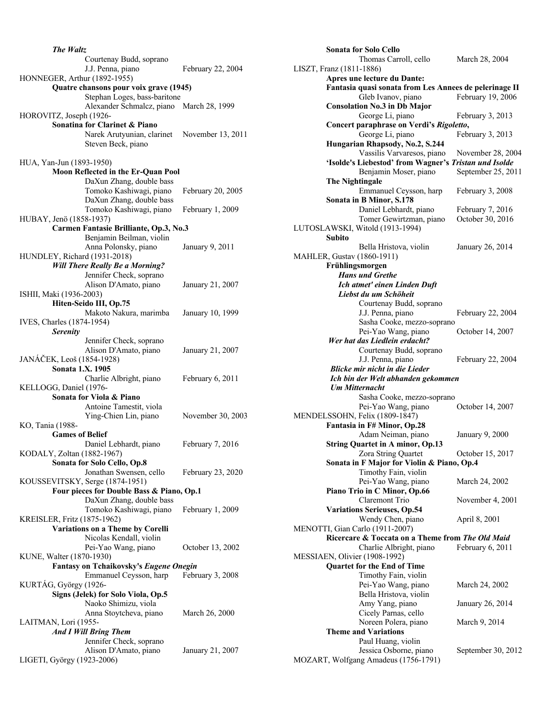| The Waltz                                 |                   |
|-------------------------------------------|-------------------|
| Courtenay Budd, soprano                   |                   |
| J.J. Penna, piano                         | February 22, 2004 |
| HONNEGER, Arthur (1892-1955)              |                   |
| Quatre chansons pour voix grave (1945)    |                   |
| Stephan Loges, bass-baritone              |                   |
| Alexander Schmalcz, piano March 28, 1999  |                   |
| HOROVITZ, Joseph (1926-                   |                   |
| Sonatina for Clarinet & Piano             |                   |
| Narek Arutyunian, clarinet                | November 13, 2011 |
| Steven Beck, piano                        |                   |
|                                           |                   |
| HUA, Yan-Jun (1893-1950)                  |                   |
| Moon Reflected in the Er-Quan Pool        |                   |
| DaXun Zhang, double bass                  |                   |
| Tomoko Kashiwagi, piano                   | February 20, 2005 |
| DaXun Zhang, double bass                  |                   |
| Tomoko Kashiwagi, piano                   | February 1, 2009  |
| HUBAY, Jenö (1858-1937)                   |                   |
| Carmen Fantasie Brilliante, Op.3, No.3    |                   |
| Benjamin Beilman, violin                  |                   |
| Anna Polonsky, piano                      | January 9, 2011   |
| HUNDLEY, Richard (1931-2018)              |                   |
| <b>Will There Really Be a Morning?</b>    |                   |
| Jennifer Check, soprano                   |                   |
| Alison D'Amato, piano                     | January 21, 2007  |
| ISHII, Maki (1936-2003)                   |                   |
| Hiten-Seido III, Op.75                    |                   |
| Makoto Nakura, marimba                    | January 10, 1999  |
| IVES, Charles (1874-1954)                 |                   |
|                                           |                   |
| <b>Serenity</b>                           |                   |
| Jennifer Check, soprano                   |                   |
| Alison D'Amato, piano                     | January 21, 2007  |
| JANÁČEK, Leoš (1854-1928)                 |                   |
| Sonata 1.X. 1905                          |                   |
| Charlie Albright, piano                   | February 6, 2011  |
| KELLOGG, Daniel (1976-                    |                   |
| Sonata for Viola & Piano                  |                   |
| Antoine Tamestit, viola                   |                   |
| Ying-Chien Lin, piano                     | November 30, 2003 |
| KO, Tania (1988-                          |                   |
| <b>Games of Belief</b>                    |                   |
| Daniel Lebhardt, piano                    | February 7, 2016  |
| KODALY, Zoltan (1882-1967)                |                   |
| Sonata for Solo Cello, Op.8               |                   |
| Jonathan Swensen, cello                   | February 23, 2020 |
| KOUSSEVITSKY, Serge (1874-1951)           |                   |
| Four pieces for Double Bass & Piano, Op.1 |                   |
| DaXun Zhang, double bass                  |                   |
| Tomoko Kashiwagi, piano                   | February 1, 2009  |
| KREISLER, Fritz (1875-1962)               |                   |
| Variations on a Theme by Corelli          |                   |
| Nicolas Kendall, violin                   |                   |
| Pei-Yao Wang, piano                       | October 13, 2002  |
| KUNE, Walter (1870-1930)                  |                   |
| Fantasy on Tchaikovsky's Eugene Onegin    |                   |
| Emmanuel Ceysson, harp                    | February 3, 2008  |
| KURTÁG, György (1926-                     |                   |
| Signs (Jelek) for Solo Viola, Op.5        |                   |
| Naoko Shimizu, viola                      |                   |
| Anna Stoytcheva, piano                    | March 26, 2000    |
| LAITMAN, Lori (1955-                      |                   |
| <b>And I Will Bring Them</b>              |                   |
| Jennifer Check, soprano                   |                   |
| Alison D'Amato, piano                     | January 21, 2007  |
| LIGETI, György (1923-2006)                |                   |
|                                           |                   |

|    | <b>Sonata for Solo Cello</b>                                                 |                          |
|----|------------------------------------------------------------------------------|--------------------------|
| l  | Thomas Carroll, cello<br>LISZT, Franz (1811-1886)                            | March 28, 2004           |
|    | Apres une lecture du Dante:                                                  |                          |
|    | Fantasia quasi sonata from Les Annees de pelerinage II<br>Gleb Ivanov, piano | February 19, 2006        |
|    | <b>Consolation No.3 in Db Major</b>                                          |                          |
|    | George Li, piano                                                             | February 3, 2013         |
|    | Concert paraphrase on Verdi's Rigoletto,                                     |                          |
| 11 | George Li, piano                                                             | February 3, 2013         |
|    | Hungarian Rhapsody, No.2, S.244                                              |                          |
|    | Vassilis Varvaresos, piano                                                   | November 28, 2004        |
|    | 'Isolde's Liebestod' from Wagner's Tristan und Isolde                        |                          |
|    | Benjamin Moser, piano                                                        | September 25, 2011       |
|    | <b>The Nightingale</b>                                                       |                          |
|    | Emmanuel Ceysson, harp<br>Sonata in B Minor, S.178                           | February 3, 2008         |
|    | Daniel Lebhardt, piano                                                       | February 7, 2016         |
|    | Tomer Gewirtzman, piano                                                      | October 30, 2016         |
|    | LUTOSLAWSKI, Witold (1913-1994)                                              |                          |
|    | Subito                                                                       |                          |
|    | Bella Hristova, violin                                                       | January 26, 2014         |
|    | MAHLER, Gustav (1860-1911)                                                   |                          |
|    | Frühlingsmorgen                                                              |                          |
|    | <b>Hans und Grethe</b>                                                       |                          |
|    | Ich atmet' einen Linden Duft<br>Liebst du um Schöheit                        |                          |
|    | Courtenay Budd, soprano                                                      |                          |
|    | J.J. Penna, piano                                                            | <b>February 22, 2004</b> |
|    | Sasha Cooke, mezzo-soprano                                                   |                          |
|    | Pei-Yao Wang, piano                                                          | October 14, 2007         |
|    | Wer hat das Liedlein erdacht?                                                |                          |
|    | Courtenay Budd, soprano                                                      |                          |
|    | J.J. Penna, piano                                                            | February 22, 2004        |
|    | <b>Blicke mir nicht in die Lieder</b><br>Ich bin der Welt abhanden gekommen  |                          |
|    | <b>Um Mitternacht</b>                                                        |                          |
|    | Sasha Cooke, mezzo-soprano                                                   |                          |
|    | Pei-Yao Wang, piano                                                          | October 14, 2007         |
| 03 | MENDELSSOHN, Felix (1809-1847)                                               |                          |
|    | Fantasia in F# Minor, Op.28                                                  |                          |
|    | Adam Neiman, piano                                                           | January 9, 2000          |
|    | <b>String Quartet in A minor, Op.13</b><br>Zora String Quartet               | October 15, 2017         |
|    | Sonata in F Major for Violin & Piano, Op.4                                   |                          |
|    | Timothy Fain, violin                                                         |                          |
|    | Pei-Yao Wang, piano                                                          | March 24, 2002           |
|    | Piano Trio in C Minor, Op.66                                                 |                          |
|    | Claremont Trio                                                               | November 4, 2001         |
|    | <b>Variations Serieuses, Op.54</b>                                           |                          |
|    | Wendy Chen, piano<br>MENOTTI, Gian Carlo (1911-2007)                         | April 8, 2001            |
|    | Ricercare & Toccata on a Theme from The Old Maid                             |                          |
|    | Charlie Albright, piano                                                      | February 6, 2011         |
|    | MESSIAEN, Olivier (1908-1992)                                                |                          |
|    | <b>Quartet for the End of Time</b>                                           |                          |
|    | Timothy Fain, violin                                                         |                          |
|    | Pei-Yao Wang, piano                                                          | March 24, 2002           |
|    | Bella Hristova, violin                                                       |                          |
|    | Amy Yang, piano<br>Cicely Parnas, cello                                      | January 26, 2014         |
|    | Noreen Polera, piano                                                         | March 9, 2014            |
|    | <b>Theme and Variations</b>                                                  |                          |
|    | Paul Huang, violin                                                           |                          |
|    | Jessica Osborne, piano                                                       | September 30, 2012       |
|    | MOZART, Wolfgang Amadeus (1756-1791)                                         |                          |
|    |                                                                              |                          |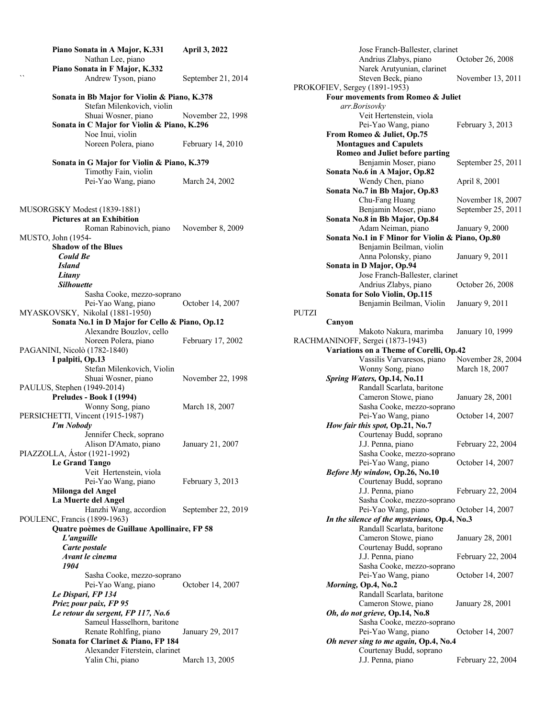|    | Piano Sonata in A Major, K.331                                               | April 3, 2022      |
|----|------------------------------------------------------------------------------|--------------------|
|    | Nathan Lee, piano                                                            |                    |
| ۱ı | Piano Sonata in F Major, K.332<br>Andrew Tyson, piano                        | September 21, 2014 |
|    | Sonata in Bb Major for Violin & Piano, K.378                                 |                    |
|    | Stefan Milenkovich, violin                                                   |                    |
|    | Shuai Wosner, piano                                                          | November 22, 1998  |
|    | Sonata in C Major for Violin & Piano, K.296                                  |                    |
|    | Noe Inui, violin                                                             |                    |
|    | Noreen Polera, piano                                                         | February 14, 2010  |
|    | Sonata in G Major for Violin & Piano, K.379<br>Timothy Fain, violin          |                    |
|    | Pei-Yao Wang, piano                                                          | March 24, 2002     |
|    |                                                                              |                    |
|    |                                                                              |                    |
|    | MUSORGSKY Modest (1839-1881)<br><b>Pictures at an Exhibition</b>             |                    |
|    | Roman Rabinovich, piano November 8, 2009                                     |                    |
|    | MUSTO, John (1954-                                                           |                    |
|    | <b>Shadow of the Blues</b>                                                   |                    |
|    | Could Be                                                                     |                    |
|    | <b>Island</b>                                                                |                    |
|    | Litany                                                                       |                    |
|    | <b>Silhouette</b>                                                            |                    |
|    | Sasha Cooke, mezzo-soprano<br>Pei-Yao Wang, piano                            | October 14, 2007   |
|    | MYASKOVSKY, NikolaI (1881-1950)                                              |                    |
|    | Sonata No.1 in D Major for Cello & Piano, Op.12                              |                    |
|    | Alexandre Bouzlov, cello                                                     |                    |
|    | Noreen Polera, piano                                                         | February 17, 2002  |
|    | PAGANINI, Nicolò (1782-1840)                                                 |                    |
|    | I palpiti, Op.13                                                             |                    |
|    | Stefan Milenkovich, Violin<br>Shuai Wosner, piano                            | November 22, 1998  |
|    | PAULUS, Stephen (1949-2014)                                                  |                    |
|    | Preludes - Book I (1994)                                                     |                    |
|    | Wonny Song, piano                                                            | March 18, 2007     |
|    | PERSICHETTI, Vincent (1915-1987)                                             |                    |
|    | I'm Nobody                                                                   |                    |
|    | Jennifer Check, soprano                                                      |                    |
|    | Alison D'Amato, piano<br>PIAZZOLLA, Ástor (1921-1992)                        | January 21, 2007   |
|    | <b>Le Grand Tango</b>                                                        |                    |
|    | Veit Hertenstein, viola                                                      |                    |
|    | Pei-Yao Wang, piano                                                          | February 3, 2013   |
|    | Milonga del Angel                                                            |                    |
|    | La Muerte del Angel                                                          |                    |
|    | Hanzhi Wang, accordion                                                       | September 22, 2019 |
|    | POULENC, Francis (1899-1963)<br>Quatre poèmes de Guillaue Apollinaire, FP 58 |                    |
|    | L'anguille                                                                   |                    |
|    | Carte postale                                                                |                    |
|    | Avant le cinema                                                              |                    |
|    | 1904                                                                         |                    |
|    | Sasha Cooke, mezzo-soprano                                                   |                    |
|    | Pei-Yao Wang, piano                                                          | October 14, 2007   |
|    | Le Dispari, FP 134<br>Priez pour paix, FP 95                                 |                    |
|    | Le retour du sergent, FP 117, No.6                                           |                    |
|    | Sameul Hasselhorn, baritone                                                  |                    |
|    | Renate Rohlfing, piano                                                       | January 29, 2017   |
|    | Sonata for Clarinet & Piano, FP 184                                          |                    |
|    | Alexander Fiterstein, clarinet                                               |                    |
|    | Yalin Chi, piano                                                             | March 13, 2005     |
|    |                                                                              |                    |

| Jose Franch-Ballester, clarinet                            |                    |
|------------------------------------------------------------|--------------------|
| Andrius Zlabys, piano                                      | October 26, 2008   |
| Narek Arutyunian, clarinet                                 |                    |
| Steven Beck, piano                                         | November 13, 2011  |
| PROKOFIEV, Sergey (1891-1953)                              |                    |
| Four movements from Romeo & Juliet                         |                    |
| arr.Borisovky                                              |                    |
| Veit Hertenstein, viola                                    |                    |
| Pei-Yao Wang, piano                                        | February 3, 2013   |
| From Romeo & Juliet, Op.75                                 |                    |
| <b>Montagues and Capulets</b>                              |                    |
| Romeo and Juliet before parting                            |                    |
| Benjamin Moser, piano                                      | September 25, 2011 |
| Sonata No.6 in A Major, Op.82                              |                    |
| Wendy Chen, piano                                          | April 8, 2001      |
| Sonata No.7 in Bb Major, Op.83                             |                    |
| Chu-Fang Huang                                             | November 18, 2007  |
| Benjamin Moser, piano                                      | September 25, 2011 |
| Sonata No.8 in Bb Major, Op.84                             |                    |
| Adam Neiman, piano                                         | January 9, 2000    |
| Sonata No.1 in F Minor for Violin & Piano, Op.80           |                    |
| Benjamin Beilman, violin                                   |                    |
| Anna Polonsky, piano                                       | January 9, 2011    |
| Sonata in D Major, Op.94                                   |                    |
| Jose Franch-Ballester, clarinet                            |                    |
| Andrius Zlabys, piano                                      | October 26, 2008   |
| Sonata for Solo Violin, Op.115                             |                    |
| Benjamin Beilman, Violin                                   | January 9, 2011    |
| <b>PUTZI</b>                                               |                    |
| Canyon                                                     |                    |
| Makoto Nakura, marimba                                     | January 10, 1999   |
| RACHMANINOFF, Sergei (1873-1943)                           |                    |
| Variations on a Theme of Corelli, Op.42                    |                    |
| Vassilis Varvaresos, piano                                 | November 28, 2004  |
|                                                            |                    |
|                                                            |                    |
| Wonny Song, piano                                          | March 18, 2007     |
| Spring Waters, Op.14, No.11                                |                    |
| Randall Scarlata, baritone                                 |                    |
| Cameron Stowe, piano                                       | January 28, 2001   |
| Sasha Cooke, mezzo-soprano                                 | October 14, 2007   |
| Pei-Yao Wang, piano                                        |                    |
| How fair this spot, Op.21, No.7<br>Courtenay Budd, soprano |                    |
|                                                            |                    |
| J.J. Penna, piano                                          | February 22, 2004  |
| Sasha Cooke, mezzo-soprano                                 | October 14, 2007   |
| Pei-Yao Wang, piano<br>Before My window, Op.26, No.10      |                    |
| Courtenay Budd, soprano                                    |                    |
| J.J. Penna, piano                                          | February 22, 2004  |
| Sasha Cooke, mezzo-soprano                                 |                    |
| Pei-Yao Wang, piano                                        | October 14, 2007   |
| In the silence of the mysterious, Op.4, No.3               |                    |
| Randall Scarlata, baritone                                 |                    |
| Cameron Stowe, piano                                       | January 28, 2001   |
| Courtenay Budd, soprano                                    |                    |
| J.J. Penna, piano                                          | February 22, 2004  |
| Sasha Cooke, mezzo-soprano                                 |                    |
| Pei-Yao Wang, piano                                        | October 14, 2007   |
| Morning, Op.4, No.2                                        |                    |
| Randall Scarlata, baritone                                 |                    |
| Cameron Stowe, piano                                       | January 28, 2001   |
| Oh, do not grieve, Op.14, No.8                             |                    |
| Sasha Cooke, mezzo-soprano                                 |                    |
| Pei-Yao Wang, piano                                        | October 14, 2007   |
| Oh never sing to me again, Op.4, No.4                      |                    |
| Courtenay Budd, soprano<br>J.J. Penna, piano               | February 22, 2004  |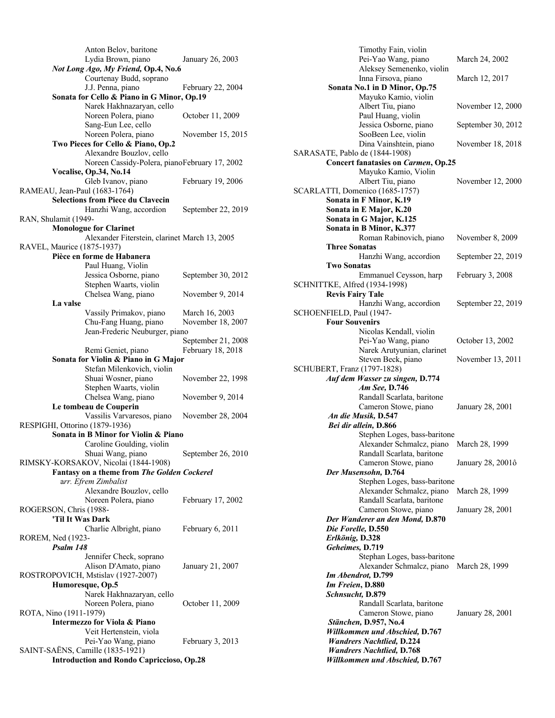|                                                                                      | Anton Belov, baritone                                                          |                    |  |
|--------------------------------------------------------------------------------------|--------------------------------------------------------------------------------|--------------------|--|
|                                                                                      | Lydia Brown, piano                                                             | January 26, 2003   |  |
|                                                                                      | Not Long Ago, My Friend, Op.4, No.6                                            |                    |  |
|                                                                                      | Courtenay Budd, soprano                                                        |                    |  |
|                                                                                      | J.J. Penna, piano                                                              | February 22, 2004  |  |
|                                                                                      | Sonata for Cello & Piano in G Minor, Op.19                                     |                    |  |
|                                                                                      | Narek Hakhnazaryan, cello                                                      |                    |  |
|                                                                                      | Noreen Polera, piano                                                           | October 11, 2009   |  |
|                                                                                      | Sang-Eun Lee, cello                                                            |                    |  |
|                                                                                      | Noreen Polera, piano                                                           | November 15, 2015  |  |
|                                                                                      | Two Pieces for Cello & Piano, Op.2                                             |                    |  |
|                                                                                      | Alexandre Bouzlov, cello                                                       |                    |  |
|                                                                                      | Noreen Cassidy-Polera, pianoFebruary 17, 2002                                  |                    |  |
|                                                                                      | Vocalise, Op.34, No.14                                                         |                    |  |
|                                                                                      | Gleb Ivanov, piano                                                             | February 19, 2006  |  |
| RAMEAU, Jean-Paul (1683-1764)                                                        |                                                                                |                    |  |
|                                                                                      | <b>Selections from Piece du Clavecin</b>                                       |                    |  |
|                                                                                      | Hanzhi Wang, accordion                                                         | September 22, 2019 |  |
| RAN, Shulamit (1949-                                                                 |                                                                                |                    |  |
|                                                                                      | <b>Monologue for Clarinet</b><br>Alexander Fiterstein, clarinet March 13, 2005 |                    |  |
| RAVEL, Maurice (1875-1937)                                                           |                                                                                |                    |  |
|                                                                                      | Pièce en forme de Habanera                                                     |                    |  |
|                                                                                      | Paul Huang, Violin                                                             |                    |  |
|                                                                                      | Jessica Osborne, piano                                                         | September 30, 2012 |  |
|                                                                                      | Stephen Waarts, violin                                                         |                    |  |
|                                                                                      | Chelsea Wang, piano                                                            | November 9, 2014   |  |
| La valse                                                                             |                                                                                |                    |  |
|                                                                                      | Vassily Primakov, piano                                                        | March 16, 2003     |  |
|                                                                                      | Chu-Fang Huang, piano                                                          | November 18, 2007  |  |
|                                                                                      | Jean-Frederic Neuburger, piano                                                 |                    |  |
|                                                                                      |                                                                                | September 21, 2008 |  |
|                                                                                      | Remi Geniet, piano                                                             | February 18, 2018  |  |
|                                                                                      | Sonata for Violin & Piano in G Major                                           |                    |  |
|                                                                                      | Stefan Milenkovich, violin                                                     |                    |  |
|                                                                                      | Shuai Wosner, piano                                                            | November 22, 1998  |  |
|                                                                                      | Stephen Waarts, violin                                                         |                    |  |
|                                                                                      | Chelsea Wang, piano                                                            | November 9, 2014   |  |
|                                                                                      | Le tombeau de Couperin                                                         |                    |  |
|                                                                                      | Vassilis Varvaresos, piano                                                     | November 28, 2004  |  |
| RESPIGHI, Ottorino (1879-1936)                                                       |                                                                                |                    |  |
| Sonata in B Minor for Violin & Piano                                                 |                                                                                |                    |  |
|                                                                                      | Caroline Goulding, violin                                                      |                    |  |
|                                                                                      | Shuai Wang, piano                                                              | September 26, 2010 |  |
|                                                                                      | RIMSKY-KORSAKOV, Nicolai (1844-1908)                                           |                    |  |
|                                                                                      | Fantasy on a theme from The Golden Cockerel                                    |                    |  |
| arr. Efrem Zimbalist                                                                 |                                                                                |                    |  |
|                                                                                      | Alexandre Bouzlov, cello                                                       |                    |  |
|                                                                                      | Noreen Polera, piano                                                           | February 17, 2002  |  |
| ROGERSON, Chris (1988-                                                               |                                                                                |                    |  |
| 'Til It Was Dark                                                                     |                                                                                |                    |  |
|                                                                                      | Charlie Albright, piano                                                        | February 6, 2011   |  |
| ROREM, Ned (1923-                                                                    |                                                                                |                    |  |
| Psalm 148                                                                            |                                                                                |                    |  |
|                                                                                      | Jennifer Check, soprano                                                        |                    |  |
|                                                                                      | Alison D'Amato, piano                                                          | January 21, 2007   |  |
|                                                                                      | ROSTROPOVICH, Mstislav (1927-2007)                                             |                    |  |
| Humoresque, Op.5                                                                     |                                                                                |                    |  |
|                                                                                      | Narek Hakhnazaryan, cello                                                      |                    |  |
|                                                                                      | Noreen Polera, piano                                                           | October 11, 2009   |  |
| ROTA, Nino (1911-1979)<br>Intermezzo for Viola & Piano                               |                                                                                |                    |  |
|                                                                                      | Veit Hertenstein, viola                                                        |                    |  |
|                                                                                      | Pei-Yao Wang, piano                                                            | February 3, 2013   |  |
|                                                                                      |                                                                                |                    |  |
| SAINT-SAËNS, Camille (1835-1921)<br><b>Introduction and Rondo Capriccioso, Op.28</b> |                                                                                |                    |  |
|                                                                                      |                                                                                |                    |  |

| Timothy Fain, violin                                                      |                    |  |  |
|---------------------------------------------------------------------------|--------------------|--|--|
| Pei-Yao Wang, piano                                                       | March 24, 2002     |  |  |
| Aleksey Semenenko, violin<br>Inna Firsova, piano                          | March 12, 2017     |  |  |
| Sonata No.1 in D Minor, Op.75                                             |                    |  |  |
| Mayuko Kamio, violin                                                      |                    |  |  |
| Albert Tiu, piano<br>Paul Huang, violin                                   | November 12, 2000  |  |  |
| Jessica Osborne, piano                                                    | September 30, 2012 |  |  |
| SooBeen Lee, violin<br>Dina Vainshtein, piano                             | November 18, 2018  |  |  |
| SARASATE, Pablo de (1844-1908)                                            |                    |  |  |
| <b>Concert fanatasies on Carmen, Op.25</b>                                |                    |  |  |
| Mayuko Kamio, Violin<br>Albert Tiu, piano                                 | November 12, 2000  |  |  |
| SCARLATTI, Domenico (1685-1757)                                           |                    |  |  |
| Sonata in F Minor, K.19                                                   |                    |  |  |
| Sonata in E Major, K.20                                                   |                    |  |  |
| Sonata in G Major, K.125<br>Sonata in B Minor, K.377                      |                    |  |  |
| Roman Rabinovich, piano                                                   | November 8, 2009   |  |  |
| <b>Three Sonatas</b>                                                      |                    |  |  |
| Hanzhi Wang, accordion<br>Two Sonatas                                     | September 22, 2019 |  |  |
| Emmanuel Ceysson, harp                                                    | February 3, 2008   |  |  |
| SCHNITTKE, Alfred (1934-1998)                                             |                    |  |  |
| <b>Revis Fairy Tale</b><br>Hanzhi Wang, accordion                         | September 22, 2019 |  |  |
| SCHOENFIELD, Paul (1947-                                                  |                    |  |  |
| <b>Four Souvenirs</b>                                                     |                    |  |  |
| Nicolas Kendall, violin<br>Pei-Yao Wang, piano                            | October 13, 2002   |  |  |
| Narek Arutyunian, clarinet                                                |                    |  |  |
| Steven Beck, piano                                                        | November 13, 2011  |  |  |
| SCHUBERT, Franz (1797-1828)<br>Auf dem Wasser zu singen, D.774            |                    |  |  |
| Am See, D.746                                                             |                    |  |  |
| Randall Scarlata, baritone                                                |                    |  |  |
| Cameron Stowe, piano<br>An die Musik, D.547                               | January 28, 2001   |  |  |
| Bei dir allein, D.866                                                     |                    |  |  |
| Stephen Loges, bass-baritone                                              |                    |  |  |
| Alexander Schmalcz, piano March 28, 1999<br>Randall Scarlata, baritone    |                    |  |  |
| Cameron Stowe, piano                                                      | January 28, 2001ô  |  |  |
| Der Musensohn, D.764                                                      |                    |  |  |
| Stephen Loges, bass-baritone<br>Alexander Schmalcz, piano                 | March 28, 1999     |  |  |
| Randall Scarlata, baritone                                                |                    |  |  |
| Cameron Stowe, piano                                                      | January 28, 2001   |  |  |
| Der Wanderer an den Mond, D.870<br>Die Forelle, D.550                     |                    |  |  |
| Erlkönig, D.328                                                           |                    |  |  |
| Geheimes, D.719                                                           |                    |  |  |
| Stephan Loges, bass-baritone<br>Alexander Schmalcz, piano March 28, 1999  |                    |  |  |
| Im Abendrot, D.799                                                        |                    |  |  |
| Im Freien, D.880                                                          |                    |  |  |
| Schnsucht, D.879<br>Randall Scarlata, baritone                            |                    |  |  |
| Cameron Stowe, piano                                                      | January 28, 2001   |  |  |
| Stänchen, D.957, No.4                                                     |                    |  |  |
| <b>Willkommen und Abschied, D.767</b><br><b>Wandrers Nachtlied, D.224</b> |                    |  |  |
| <b>Wandrers Nachtlied, D.768</b>                                          |                    |  |  |
| <b>Willkommen und Abschied, D.767</b>                                     |                    |  |  |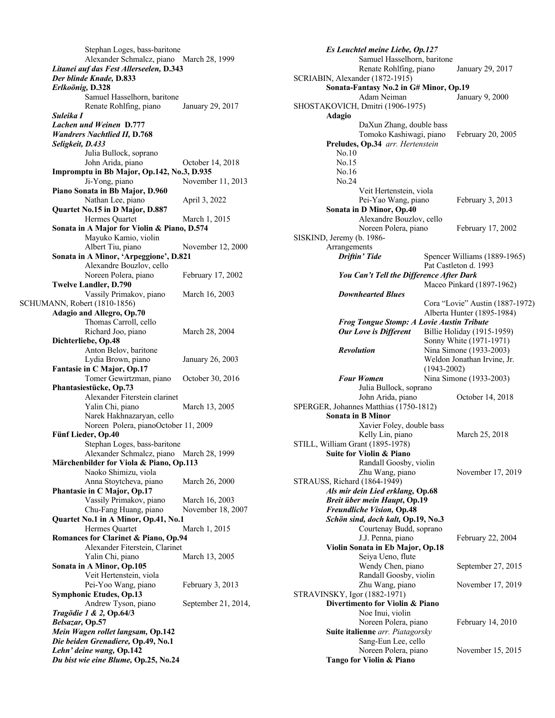Stephan Loges, bass-baritone Alexander Schmalcz, piano March 28, 1999 *Litanei auf das Fest Allerseelen,* **D.343** *Der blinde Knade,* **D.833** *Erlkoönig,* **D.328** Samuel Hasselhorn, baritone Renate Rohlfing, piano January 29, 2017 *Suleika I Lachen und Weinen* **D.777** *Wandrers Nachtlied II,* **D.768** *Seligkeit, D.433* Julia Bullock, soprano John Arida, piano October 14, 2018 **Impromptu in Bb Major, Op.142, No.3, D.935** Ji-Yong, piano November 11, 2013 **Piano Sonata in Bb Major, D.960** Nathan Lee, piano April 3, 2022 **Quartet No.15 in D Major, D.887** Hermes Quartet March 1, 2015 **Sonata in A Major for Violin & Piano, D.574**  Mayuko Kamio, violin Albert Tiu, piano November 12, 2000 **Sonata in A Minor, 'Arpeggione', D.821**  Alexandre Bouzlov, cello Noreen Polera, piano February 17, 2002 **Twelve Landler, D.790** Vassily Primakov, piano March 16, 2003 SCHUMANN, Robert (1810-1856) **Adagio and Allegro, Op.70** Thomas Carroll, cello Richard Joo, piano March 28, 2004 **Dichterliebe, Op.48** Anton Belov, baritone Lydia Brown, piano January 26, 2003 **Fantasie in C Major, Op.17** Tomer Gewirtzman, piano October 30, 2016 **Phantasiestücke, Op.73** Alexander Fiterstein clarinet Yalin Chi, piano March 13, 2005 Narek Hakhnazaryan, cello Noreen Polera, pianoOctober 11, 2009 **Fünf Lieder, Op.40** Stephan Loges, bass-baritone Alexander Schmalcz, piano March 28, 1999 **Märchenbilder for Viola & Piano, Op.113** Naoko Shimizu, viola Anna Stoytcheva, piano March 26, 2000 **Phantasie in C Major, Op.17** Vassily Primakov, piano March 16, 2003 Chu-Fang Huang, piano November 18, 2007 **Quartet No.1 in A Minor, Op.41, No.1** Hermes Quartet **Romances for Clarinet & Piano, Op.94** Alexander Fiterstein, Clarinet Yalin Chi, piano March 13, 2005 **Sonata in A Minor, Op.105** Veit Hertenstein, viola Pei-Yoo Wang, piano February 3, 2013 **Symphonic Etudes, Op.13** Andrew Tyson, piano September 21, 2014, *Tragödie 1 & 2,* **Op.64/3** *Belsazar,* **Op.57** *Mein Wagen rollet langsam,* **Op.142** *Die beiden Grenadiere,* **Op.49, No.1** *Lehn' deine wang,* **Op.142** *Du bist wie eine Blume,* **Op.25, No.24**

*Es Leuchtel meine Liebe, Op.127* Samuel Hasselhorn, baritone Renate Rohlfing, piano January 29, 2017 SCRIABIN, Alexander (1872-1915) **Sonata-Fantasy No.2 in G# Minor, Op.19** Adam Neiman January 9, 2000 SHOSTAKOVICH, Dmitri (1906-1975) **Adagio** DaXun Zhang, double bass Tomoko Kashiwagi, piano February 20, 2005 **Preludes, Op.34** *arr. Hertenstein* No.10 No.15 No.16 No.24 Veit Hertenstein, viola Pei-Yao Wang, piano February 3, 2013 **Sonata in D Minor, Op.40** Alexandre Bouzlov, cello Noreen Polera, piano February 17, 2002 SISKIND, Jeremy (b. 1986- Arrangements *Driftin' Tide* Spencer Williams (1889-1965) Pat Castleton d. 1993 *You Can't Tell the Difference After Dark* Maceo Pinkard (1897-1962) *Downhearted Blues* Cora "Lovie" Austin (1887-1972) Alberta Hunter (1895-1984) *Frog Tongue Stomp: A Lovie Austin Tribute Our Love is Different* Billie Holiday (1915-1959) Sonny White (1971-1971) *Revolution* Nina Simone (1933-2003) Weldon Jonathan Irvine, Jr. (1943-2002) *Four Women* Nina Simone (1933-2003) Julia Bullock, soprano John Arida, piano October 14, 2018 SPERGER, Johannes Matthias (1750-1812) **Sonata in B Minor** Xavier Foley, double bass Kelly Lin, piano March 25, 2018 STILL, William Grant (1895-1978) **Suite for Violin & Piano** Randall Goosby, violin November 17, 2019 STRAUSS, Richard (1864-1949) *Als mir dein Lied erklang,* **Op.68** *Breit über mein Haupt***, Op.19** *Freundliche Vision,* **Op.48** *Schön sind, doch kalt,* **Op.19, No.3** Courtenay Budd, soprano J.J. Penna, piano February 22, 2004 **Violin Sonata in Eb Major, Op.18** Seiya Ueno, flute Wendy Chen, piano September 27, 2015 Randall Goosby, violin Zhu Wang, piano November 17, 2019 STRAVINSKY, Igor (1882-1971) **Divertimento for Violin & Piano** Noe Inui, violin Noreen Polera, piano February 14, 2010 **Suite italienne** *arr. Piatagorsky* Sang-Eun Lee, cello Noreen Polera, piano November 15, 2015 **Tango for Violin & Piano**